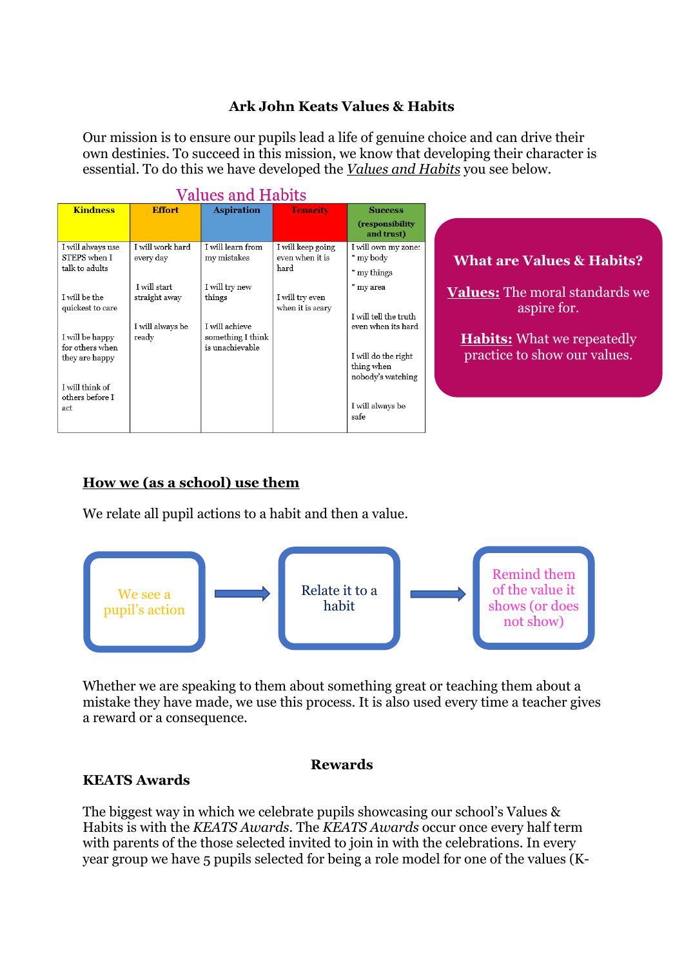#### **Ark John Keats Values & Habits**

Our mission is to ensure our pupils lead a life of genuine choice and can drive their own destinies. To succeed in this mission, we know that developing their character is essential. To do this we have developed the *Values and Habits* you see below.

| <b>Values and Habits</b>                             |                               |                                      |                                              |                                                        |                                                                   |
|------------------------------------------------------|-------------------------------|--------------------------------------|----------------------------------------------|--------------------------------------------------------|-------------------------------------------------------------------|
| <b>Kindness</b>                                      | <b>Effort</b>                 | <b>Aspiration</b>                    | <b>Tenacity</b>                              | <b>Success</b>                                         |                                                                   |
|                                                      |                               |                                      |                                              | (responsibility<br>and trust)                          |                                                                   |
| I will always use<br>STEPS when I<br>talk to adults  | I will work hard<br>every day | I will learn from<br>my mistakes     | I will keep going<br>even when it is<br>hard | I will own my zone:<br>* my body                       | <b>What are Values &amp; Habits?</b>                              |
|                                                      | I will start                  | I will try new                       |                                              | * my things<br>* my area                               |                                                                   |
| I will be the<br>quickest to care                    | straight away                 | things<br>I will achieve             | I will try even<br>when it is scary          | I will tell the truth<br>even when its hard            | <b>Values:</b> The moral standards we<br>aspire for.              |
| I will be happy<br>for others when<br>they are happy | I will always be<br>ready     | something I think<br>is unachievable |                                              | I will do the right<br>thing when<br>nobody's watching | <b>Habits:</b> What we repeatedly<br>practice to show our values. |
| I will think of<br>others before I<br>act            |                               |                                      |                                              | I will always be<br>safe                               |                                                                   |

# **How we (as a school) use them**

We relate all pupil actions to a habit and then a value.



Whether we are speaking to them about something great or teaching them about a mistake they have made, we use this process. It is also used every time a teacher gives a reward or a consequence.

#### **Rewards**

#### **KEATS Awards**

The biggest way in which we celebrate pupils showcasing our school's Values & Habits is with the *KEATS Awards*. The *KEATS Awards* occur once every half term with parents of the those selected invited to join in with the celebrations. In every year group we have 5 pupils selected for being a role model for one of the values (K-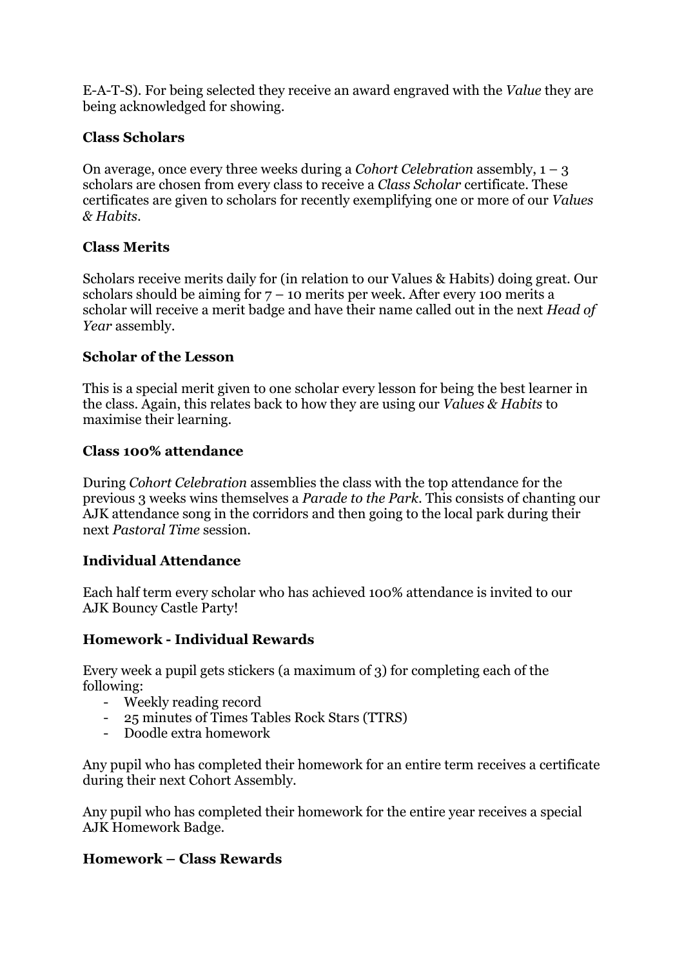E-A-T-S). For being selected they receive an award engraved with the *Value* they are being acknowledged for showing.

### **Class Scholars**

On average, once every three weeks during a *Cohort Celebration* assembly, 1 – 3 scholars are chosen from every class to receive a *Class Scholar* certificate. These certificates are given to scholars for recently exemplifying one or more of our *Values & Habits*.

## **Class Merits**

Scholars receive merits daily for (in relation to our Values & Habits) doing great. Our scholars should be aiming for  $7 - 10$  merits per week. After every 100 merits a scholar will receive a merit badge and have their name called out in the next *Head of Year* assembly.

### **Scholar of the Lesson**

This is a special merit given to one scholar every lesson for being the best learner in the class. Again, this relates back to how they are using our *Values & Habits* to maximise their learning.

### **Class 100% attendance**

During *Cohort Celebration* assemblies the class with the top attendance for the previous 3 weeks wins themselves a *Parade to the Park*. This consists of chanting our AJK attendance song in the corridors and then going to the local park during their next *Pastoral Time* session.

### **Individual Attendance**

Each half term every scholar who has achieved 100% attendance is invited to our AJK Bouncy Castle Party!

### **Homework - Individual Rewards**

Every week a pupil gets stickers (a maximum of 3) for completing each of the following:

- Weekly reading record
- 25 minutes of Times Tables Rock Stars (TTRS)
- Doodle extra homework

Any pupil who has completed their homework for an entire term receives a certificate during their next Cohort Assembly.

Any pupil who has completed their homework for the entire year receives a special AJK Homework Badge.

### **Homework – Class Rewards**